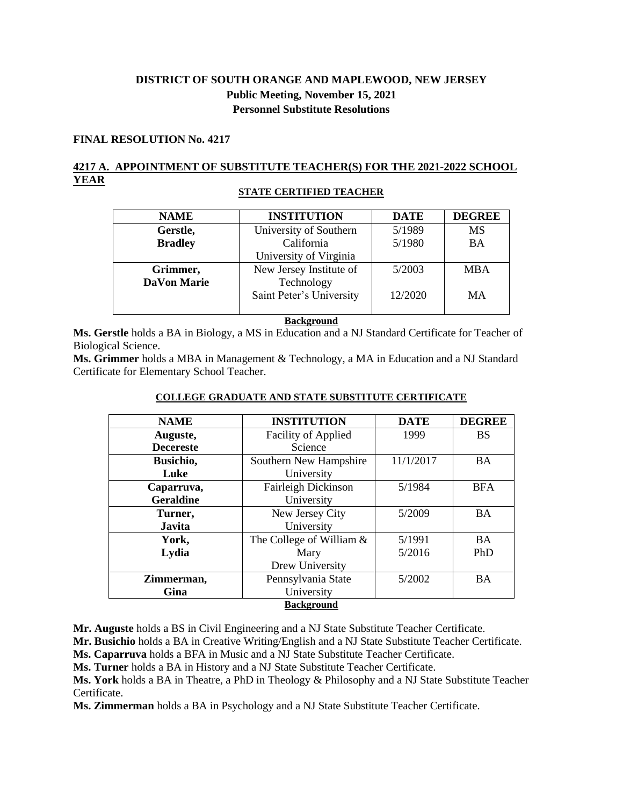# **DISTRICT OF SOUTH ORANGE AND MAPLEWOOD, NEW JERSEY Public Meeting, November 15, 2021 Personnel Substitute Resolutions**

## **FINAL RESOLUTION No. 4217**

## **4217 A. APPOINTMENT OF SUBSTITUTE TEACHER(S) FOR THE 2021-2022 SCHOOL YEAR**

## **STATE CERTIFIED TEACHER**

| <b>NAME</b>        | <b>INSTITUTION</b>                     | <b>DATE</b> | <b>DEGREE</b> |
|--------------------|----------------------------------------|-------------|---------------|
| Gerstle,           | University of Southern                 | 5/1989      | <b>MS</b>     |
| <b>Bradley</b>     | California                             | 5/1980      | <b>BA</b>     |
|                    | University of Virginia                 |             |               |
| Grimmer,           | New Jersey Institute of                | 5/2003      | <b>MBA</b>    |
| <b>DaVon Marie</b> | Technology<br>Saint Peter's University | 12/2020     | MA            |
|                    |                                        |             |               |

#### **Background**

**Ms. Gerstle** holds a BA in Biology, a MS in Education and a NJ Standard Certificate for Teacher of Biological Science.

**Ms. Grimmer** holds a MBA in Management & Technology, a MA in Education and a NJ Standard Certificate for Elementary School Teacher.

| <b>NAME</b>       | <b>INSTITUTION</b>         | <b>DATE</b> | <b>DEGREE</b> |  |
|-------------------|----------------------------|-------------|---------------|--|
| Auguste,          | <b>Facility of Applied</b> | 1999        | <b>BS</b>     |  |
| <b>Decereste</b>  | Science                    |             |               |  |
| Busichio,         | Southern New Hampshire     | 11/1/2017   | <b>BA</b>     |  |
| Luke              | University                 |             |               |  |
| Caparruva,        | Fairleigh Dickinson        | 5/1984      | <b>BFA</b>    |  |
| <b>Geraldine</b>  | University                 |             |               |  |
| Turner,           | New Jersey City            | 5/2009      | <b>BA</b>     |  |
| <b>Javita</b>     | University                 |             |               |  |
| York,             | The College of William &   | 5/1991      | <b>BA</b>     |  |
| Lydia             | Mary                       | 5/2016      | PhD           |  |
|                   | Drew University            |             |               |  |
| Zimmerman,        | Pennsylvania State         | 5/2002      | <b>BA</b>     |  |
| Gina              | University                 |             |               |  |
| <b>Background</b> |                            |             |               |  |

### **COLLEGE GRADUATE AND STATE SUBSTITUTE CERTIFICATE**

**Mr. Auguste** holds a BS in Civil Engineering and a NJ State Substitute Teacher Certificate.

**Mr. Busichio** holds a BA in Creative Writing/English and a NJ State Substitute Teacher Certificate.

**Ms. Caparruva** holds a BFA in Music and a NJ State Substitute Teacher Certificate.

**Ms. Turner** holds a BA in History and a NJ State Substitute Teacher Certificate.

**Ms. York** holds a BA in Theatre, a PhD in Theology & Philosophy and a NJ State Substitute Teacher Certificate.

**Ms. Zimmerman** holds a BA in Psychology and a NJ State Substitute Teacher Certificate.